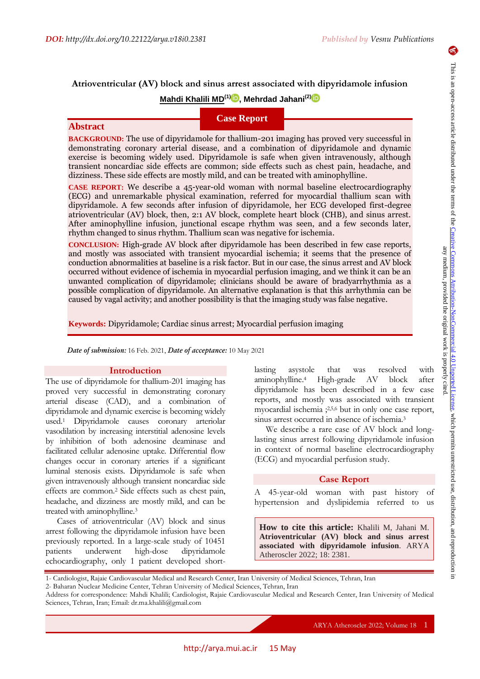# **Atrioventricular (AV) block and sinus arrest associated with dipyridamole infusion**

## **Mahdi Khalili MD(1[\)](https://orcid.org/0000-0002-8880-7962) , Mehrdad Jahani(2[\)](https://orcid.org/0000-0002-3025-3485)**

# **Case Report**

## **Abstract**

**BACKGROUND:** The use of dipyridamole for thallium-201 imaging has proved very successful in demonstrating coronary arterial disease, and a combination of dipyridamole and dynamic exercise is becoming widely used. Dipyridamole is safe when given intravenously, although transient noncardiac side effects are common; side effects such as chest pain, headache, and dizziness. These side effects are mostly mild, and can be treated with aminophylline.

**CASE REPORT:** We describe a 45-year-old woman with normal baseline electrocardiography (ECG) and unremarkable physical examination, referred for myocardial thallium scan with dipyridamole. A few seconds after infusion of dipyridamole, her ECG developed first-degree atrioventricular (AV) block, then, 2:1 AV block, complete heart block (CHB), and sinus arrest. After aminophylline infusion, junctional escape rhythm was seen, and a few seconds later, rhythm changed to sinus rhythm. Thallium scan was negative for ischemia.

**CONCLUSION:** High-grade AV block after dipyridamole has been described in few case reports, and mostly was associated with transient myocardial ischemia; it seems that the presence of conduction abnormalities at baseline is a risk factor. But in our case, the sinus arrest and AV block occurred without evidence of ischemia in myocardial perfusion imaging, and we think it can be an unwanted complication of dipyridamole; clinicians should be aware of bradyarrhythmia as a possible complication of dipyridamole. An alternative explanation is that this arrhythmia can be caused by vagal activity; and another possibility is that the imaging study was false negative.

**Keywords:** Dipyridamole; Cardiac sinus arrest; Myocardial perfusion imaging

*Date of submission:* 16 Feb. 2021, *Date of acceptance:* 10 May 2021

### **Introduction**

The use of dipyridamole for thallium-201 imaging has proved very successful in demonstrating coronary arterial disease (CAD), and a combination of dipyridamole and dynamic exercise is becoming widely used. <sup>1</sup> Dipyridamole causes coronary arteriolar vasodilation by increasing interstitial adenosine levels by inhibition of both adenosine deaminase and facilitated cellular adenosine uptake. Differential flow changes occur in coronary arteries if a significant luminal stenosis exists. Dipyridamole is safe when given intravenously although transient noncardiac side effects are common. <sup>2</sup> Side effects such as chest pain, headache, and dizziness are mostly mild, and can be treated with aminophylline.<sup>3</sup>

Cases of atrioventricular (AV) block and sinus arrest following the dipyridamole infusion have been previously reported. In a large-scale study of 10451 patients underwent high-dose dipyridamole echocardiography, only 1 patient developed shortlasting asystole that was resolved with aminophylline. <sup>4</sup> High-grade AV block after dipyridamole has been described in a few case reports, and mostly was associated with transient myocardial ischemia ; 2,5,6 but in only one case report, sinus arrest occurred in absence of ischemia.<sup>3</sup>

We describe a rare case of AV block and longlasting sinus arrest following dipyridamole infusion in context of normal baseline electrocardiography (ECG) and myocardial perfusion study.

### **Case Report**

A 45-year-old woman with past history of hypertension and dyslipidemia referred to us

**How to cite this article:** Khalili M, Jahani M. **Atrioventricular (AV) block and sinus arrest associated with dipyridamole infusion**. ARYA Atheroscler 2022; 18: 2381.

1- Cardiologist, Rajaie Cardiovascular Medical and Research Center, Iran University of Medical Sciences, Tehran, Iran

Address for correspondence: Mahdi Khalili; Cardiologist, Rajaie Cardiovascular Medical and Research Center, Iran University of Medical Sciences, Tehran, Iran; Email: dr.ma.khalili@gmail.com

6

<sup>2-</sup> Baharan Nuclear Medicine Center, Tehran University of Medical Sciences, Tehran, Iran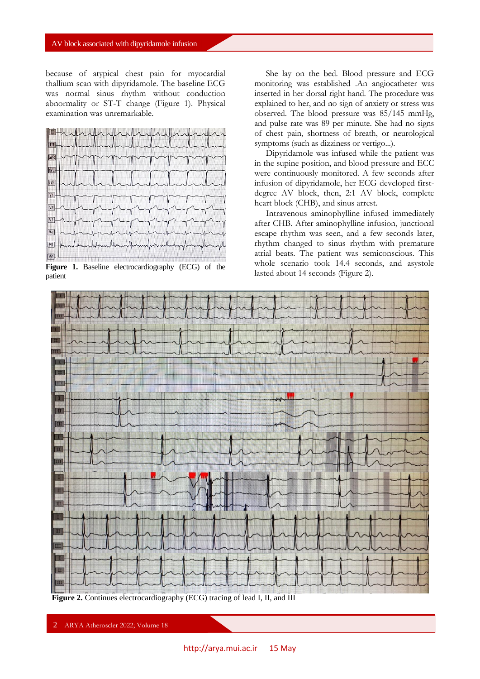because of atypical chest pain for myocardial thallium scan with dipyridamole. The baseline ECG was normal sinus rhythm without conduction abnormality or ST-T change (Figure 1). Physical examination was unremarkable.



**Figure 1.** Baseline electrocardiography (ECG) of the patient

She lay on the bed. Blood pressure and ECG monitoring was established .An angiocatheter was inserted in her dorsal right hand. The procedure was explained to her, and no sign of anxiety or stress was observed. The blood pressure was 85/145 mmHg, and pulse rate was 89 per minute. She had no signs of chest pain, shortness of breath, or neurological symptoms (such as dizziness or vertigo...).

Dipyridamole was infused while the patient was in the supine position, and blood pressure and ECC were continuously monitored. A few seconds after infusion of dipyridamole, her ECG developed firstdegree AV block, then, 2:1 AV block, complete heart block (CHB), and sinus arrest.

Intravenous aminophylline infused immediately after CHB. After aminophylline infusion, junctional escape rhythm was seen, and a few seconds later, rhythm changed to sinus rhythm with premature atrial beats. The patient was semiconscious. This whole scenario took 14.4 seconds, and asystole lasted about 14 seconds (Figure 2).



**Figure 2.** Continues electrocardiography (ECG) tracing of lead I, II, and III

2 ARYA Atheroscler 2022; Volume 18